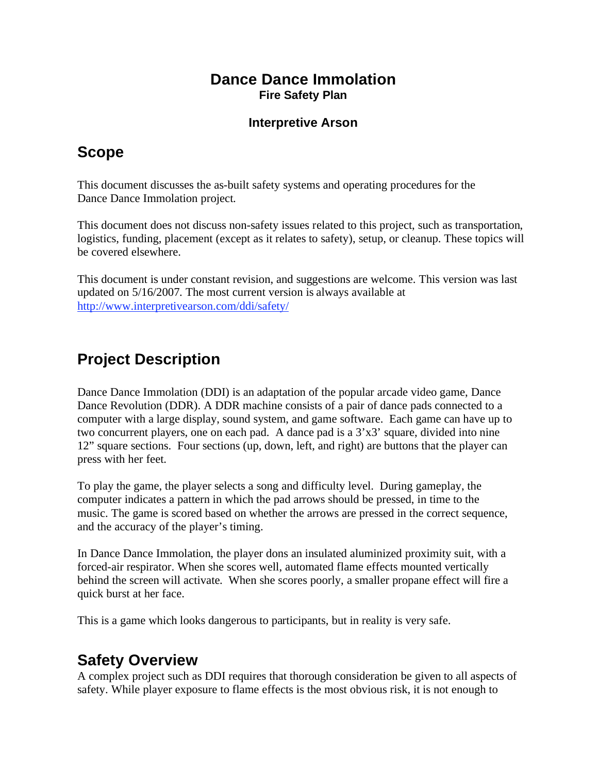#### **Dance Dance Immolation Fire Safety Plan**

#### **Interpretive Arson**

# **Scope**

This document discusses the as-built safety systems and operating procedures for the Dance Dance Immolation project.

This document does not discuss non-safety issues related to this project, such as transportation, logistics, funding, placement (except as it relates to safety), setup, or cleanup. These topics will be covered elsewhere.

This document is under constant revision, and suggestions are welcome. This version was last updated on 5/16/2007. The most current version is always available at http://www.interpretivearson.com/ddi/safety/

# **Project Description**

Dance Dance Immolation (DDI) is an adaptation of the popular arcade video game, Dance Dance Revolution (DDR). A DDR machine consists of a pair of dance pads connected to a computer with a large display, sound system, and game software. Each game can have up to two concurrent players, one on each pad. A dance pad is a  $3'x3'$  square, divided into nine 12" square sections. Four sections (up, down, left, and right) are buttons that the player can press with her feet.

To play the game, the player selects a song and difficulty level. During gameplay, the computer indicates a pattern in which the pad arrows should be pressed, in time to the music. The game is scored based on whether the arrows are pressed in the correct sequence, and the accuracy of the player's timing.

In Dance Dance Immolation, the player dons an insulated aluminized proximity suit, with a forced-air respirator. When she scores well, automated flame effects mounted vertically behind the screen will activate. When she scores poorly, a smaller propane effect will fire a quick burst at her face.

This is a game which looks dangerous to participants, but in reality is very safe.

## **Safety Overview**

A complex project such as DDI requires that thorough consideration be given to all aspects of safety. While player exposure to flame effects is the most obvious risk, it is not enough to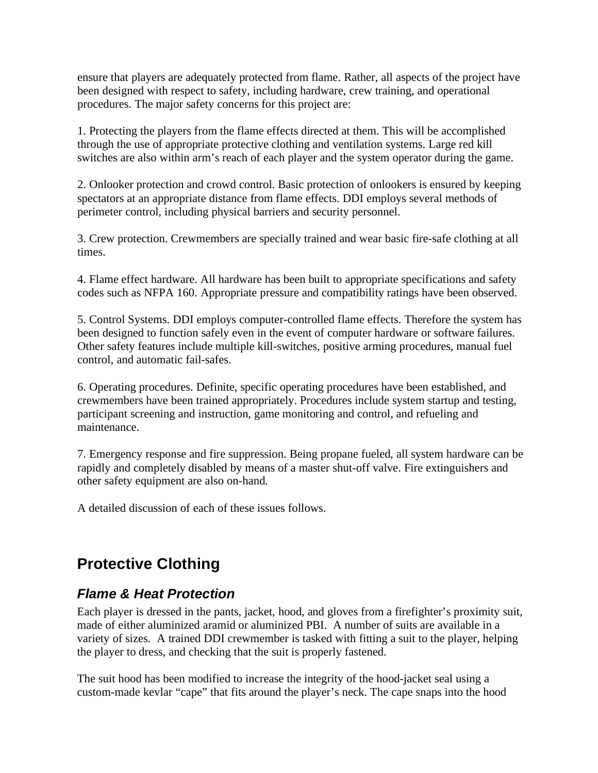ensure that players are adequately protected from flame. Rather, all aspects of the project have been designed with respect to safety, including hardware, crew training, and operational procedures. The major safety concerns for this project are:

1. Protecting the players from the flame effects directed at them. This will be accomplished through the use of appropriate protective clothing and ventilation systems. Large red kill switches are also within arm's reach of each player and the system operator during the game.

2. Onlooker protection and crowd control. Basic protection of onlookers is ensured by keeping spectators at an appropriate distance from flame effects. DDI employs several methods of perimeter control, including physical barriers and security personnel.

3. Crew protection. Crewmembers are specially trained and wear basic fire-safe clothing at all times.

4. Flame effect hardware. All hardware has been built to appropriate specifications and safety codes such as NFPA 160. Appropriate pressure and compatibility ratings have been observed.

5. Control Systems. DDI employs computer-controlled flame effects. Therefore the system has been designed to function safely even in the event of computer hardware or software failures. Other safety features include multiple kill-switches, positive arming procedures, manual fuel control, and automatic fail-safes.

6. Operating procedures. Definite, specific operating procedures have been established, and crewmembers have been trained appropriately. Procedures include system startup and testing, participant screening and instruction, game monitoring and control, and refueling and maintenance.

7. Emergency response and fire suppression. Being propane fueled, all system hardware can be rapidly and completely disabled by means of a master shut-off valve. Fire extinguishers and other safety equipment are also on-hand.

A detailed discussion of each of these issues follows.

# **Protective Clothing**

#### *Flame & Heat Protection*

Each player is dressed in the pants, jacket, hood, and gloves from a firefighter's proximity suit, made of either aluminized aramid or aluminized PBI. A number of suits are available in a variety of sizes. A trained DDI crewmember is tasked with fitting a suit to the player, helping the player to dress, and checking that the suit is properly fastened.

The suit hood has been modified to increase the integrity of the hood-jacket seal using a custom-made kevlar "cape" that fits around the player's neck. The cape snaps into the hood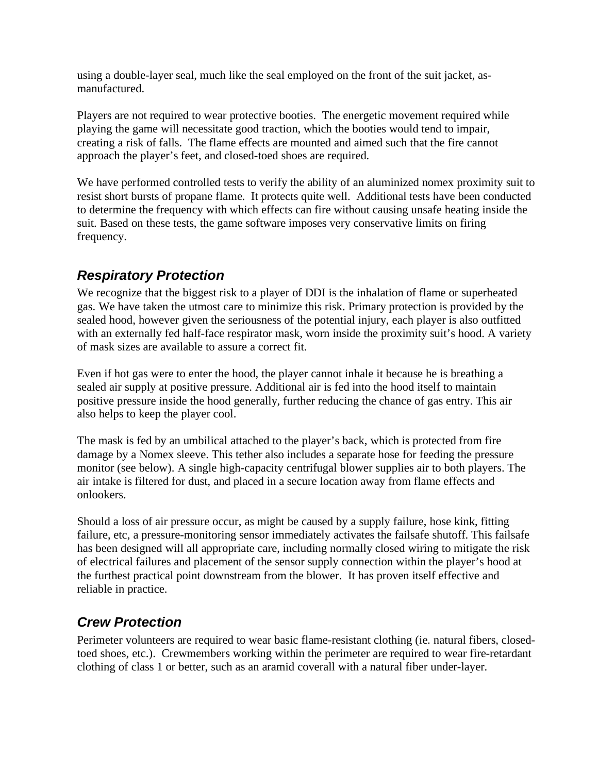using a double-layer seal, much like the seal employed on the front of the suit jacket, asmanufactured.

Players are not required to wear protective booties. The energetic movement required while playing the game will necessitate good traction, which the booties would tend to impair, creating a risk of falls. The flame effects are mounted and aimed such that the fire cannot approach the player's feet, and closed-toed shoes are required.

We have performed controlled tests to verify the ability of an aluminized nomex proximity suit to resist short bursts of propane flame. It protects quite well. Additional tests have been conducted to determine the frequency with which effects can fire without causing unsafe heating inside the suit. Based on these tests, the game software imposes very conservative limits on firing frequency.

## *Respiratory Protection*

We recognize that the biggest risk to a player of DDI is the inhalation of flame or superheated gas. We have taken the utmost care to minimize this risk. Primary protection is provided by the sealed hood, however given the seriousness of the potential injury, each player is also outfitted with an externally fed half-face respirator mask, worn inside the proximity suit's hood. A variety of mask sizes are available to assure a correct fit.

Even if hot gas were to enter the hood, the player cannot inhale it because he is breathing a sealed air supply at positive pressure. Additional air is fed into the hood itself to maintain positive pressure inside the hood generally, further reducing the chance of gas entry. This air also helps to keep the player cool.

The mask is fed by an umbilical attached to the player's back, which is protected from fire damage by a Nomex sleeve. This tether also includes a separate hose for feeding the pressure monitor (see below). A single high-capacity centrifugal blower supplies air to both players. The air intake is filtered for dust, and placed in a secure location away from flame effects and onlookers.

Should a loss of air pressure occur, as might be caused by a supply failure, hose kink, fitting failure, etc, a pressure-monitoring sensor immediately activates the failsafe shutoff. This failsafe has been designed will all appropriate care, including normally closed wiring to mitigate the risk of electrical failures and placement of the sensor supply connection within the player's hood at the furthest practical point downstream from the blower. It has proven itself effective and reliable in practice.

## *Crew Protection*

Perimeter volunteers are required to wear basic flame-resistant clothing (ie. natural fibers, closedtoed shoes, etc.). Crewmembers working within the perimeter are required to wear fire-retardant clothing of class 1 or better, such as an aramid coverall with a natural fiber under-layer.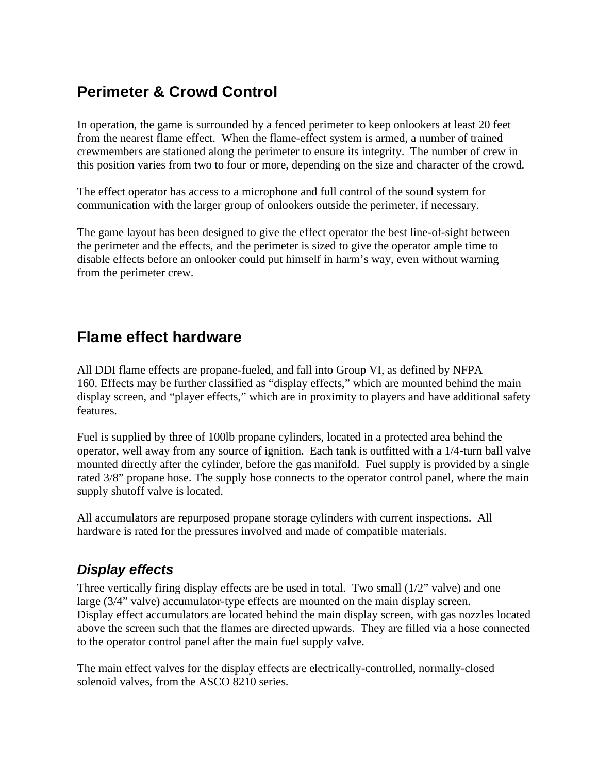# **Perimeter & Crowd Control**

In operation, the game is surrounded by a fenced perimeter to keep onlookers at least 20 feet from the nearest flame effect. When the flame-effect system is armed, a number of trained crewmembers are stationed along the perimeter to ensure its integrity. The number of crew in this position varies from two to four or more, depending on the size and character of the crowd.

The effect operator has access to a microphone and full control of the sound system for communication with the larger group of onlookers outside the perimeter, if necessary.

The game layout has been designed to give the effect operator the best line-of-sight between the perimeter and the effects, and the perimeter is sized to give the operator ample time to disable effects before an onlooker could put himself in harm's way, even without warning from the perimeter crew.

# **Flame effect hardware**

All DDI flame effects are propane-fueled, and fall into Group VI, as defined by NFPA 160. Effects may be further classified as "display effects," which are mounted behind the main display screen, and "player effects," which are in proximity to players and have additional safety features.

Fuel is supplied by three of 100lb propane cylinders, located in a protected area behind the operator, well away from any source of ignition. Each tank is outfitted with a 1/4-turn ball valve mounted directly after the cylinder, before the gas manifold. Fuel supply is provided by a single rated 3/8" propane hose. The supply hose connects to the operator control panel, where the main supply shutoff valve is located.

All accumulators are repurposed propane storage cylinders with current inspections. All hardware is rated for the pressures involved and made of compatible materials.

## *Display effects*

Three vertically firing display effects are be used in total. Two small  $(1/2)$  valve) and one large (3/4" valve) accumulator-type effects are mounted on the main display screen. Display effect accumulators are located behind the main display screen, with gas nozzles located above the screen such that the flames are directed upwards. They are filled via a hose connected to the operator control panel after the main fuel supply valve.

The main effect valves for the display effects are electrically-controlled, normally-closed solenoid valves, from the ASCO 8210 series.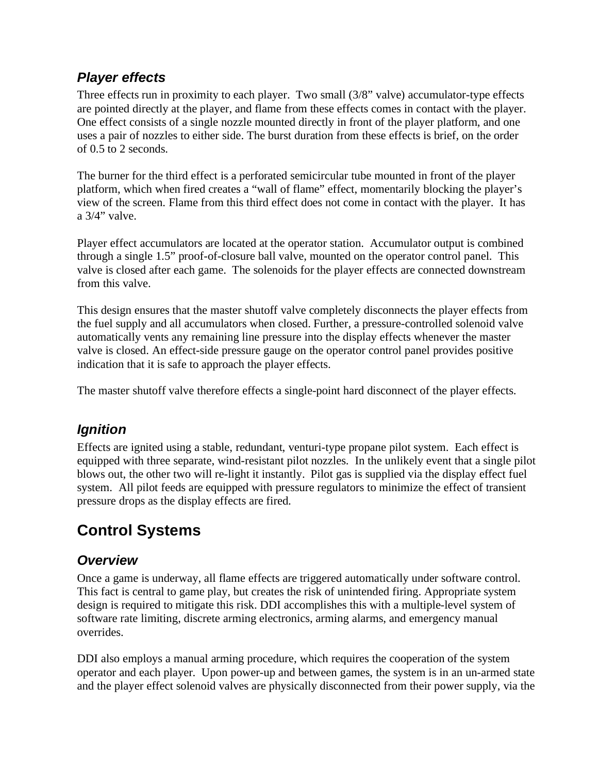## *Player effects*

Three effects run in proximity to each player. Two small (3/8" valve) accumulator-type effects are pointed directly at the player, and flame from these effects comes in contact with the player. One effect consists of a single nozzle mounted directly in front of the player platform, and one uses a pair of nozzles to either side. The burst duration from these effects is brief, on the order of 0.5 to 2 seconds.

The burner for the third effect is a perforated semicircular tube mounted in front of the player platform, which when fired creates a "wall of flame" effect, momentarily blocking the player's view of the screen. Flame from this third effect does not come in contact with the player. It has a 3/4" valve.

Player effect accumulators are located at the operator station. Accumulator output is combined through a single 1.5" proof-of-closure ball valve, mounted on the operator control panel. This valve is closed after each game. The solenoids for the player effects are connected downstream from this valve.

This design ensures that the master shutoff valve completely disconnects the player effects from the fuel supply and all accumulators when closed. Further, a pressure-controlled solenoid valve automatically vents any remaining line pressure into the display effects whenever the master valve is closed. An effect-side pressure gauge on the operator control panel provides positive indication that it is safe to approach the player effects.

The master shutoff valve therefore effects a single-point hard disconnect of the player effects.

## *Ignition*

Effects are ignited using a stable, redundant, venturi-type propane pilot system. Each effect is equipped with three separate, wind-resistant pilot nozzles. In the unlikely event that a single pilot blows out, the other two will re-light it instantly. Pilot gas is supplied via the display effect fuel system. All pilot feeds are equipped with pressure regulators to minimize the effect of transient pressure drops as the display effects are fired.

# **Control Systems**

#### *Overview*

Once a game is underway, all flame effects are triggered automatically under software control. This fact is central to game play, but creates the risk of unintended firing. Appropriate system design is required to mitigate this risk. DDI accomplishes this with a multiple-level system of software rate limiting, discrete arming electronics, arming alarms, and emergency manual overrides.

DDI also employs a manual arming procedure, which requires the cooperation of the system operator and each player. Upon power-up and between games, the system is in an un-armed state and the player effect solenoid valves are physically disconnected from their power supply, via the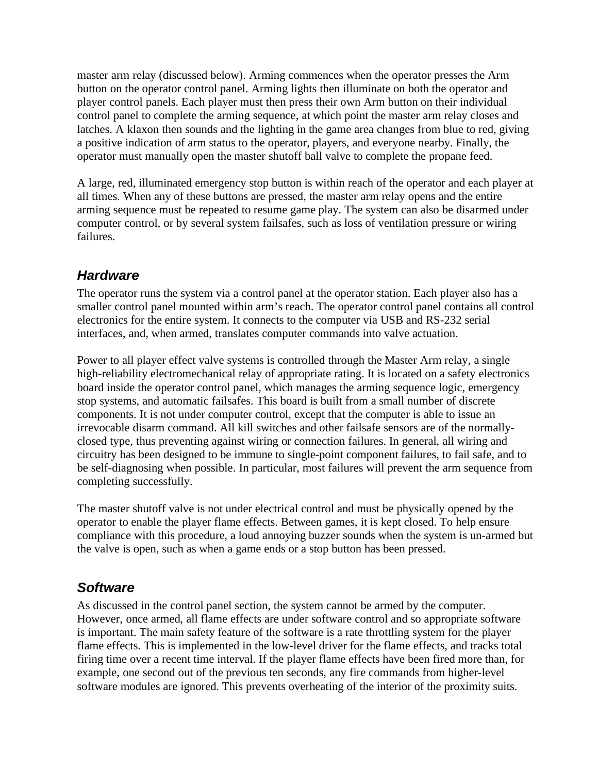master arm relay (discussed below). Arming commences when the operator presses the Arm button on the operator control panel. Arming lights then illuminate on both the operator and player control panels. Each player must then press their own Arm button on their individual control panel to complete the arming sequence, at which point the master arm relay closes and latches. A klaxon then sounds and the lighting in the game area changes from blue to red, giving a positive indication of arm status to the operator, players, and everyone nearby. Finally, the operator must manually open the master shutoff ball valve to complete the propane feed.

A large, red, illuminated emergency stop button is within reach of the operator and each player at all times. When any of these buttons are pressed, the master arm relay opens and the entire arming sequence must be repeated to resume game play. The system can also be disarmed under computer control, or by several system failsafes, such as loss of ventilation pressure or wiring failures.

#### *Hardware*

The operator runs the system via a control panel at the operator station. Each player also has a smaller control panel mounted within arm's reach. The operator control panel contains all control electronics for the entire system. It connects to the computer via USB and RS-232 serial interfaces, and, when armed, translates computer commands into valve actuation.

Power to all player effect valve systems is controlled through the Master Arm relay, a single high-reliability electromechanical relay of appropriate rating. It is located on a safety electronics board inside the operator control panel, which manages the arming sequence logic, emergency stop systems, and automatic failsafes. This board is built from a small number of discrete components. It is not under computer control, except that the computer is able to issue an irrevocable disarm command. All kill switches and other failsafe sensors are of the normallyclosed type, thus preventing against wiring or connection failures. In general, all wiring and circuitry has been designed to be immune to single-point component failures, to fail safe, and to be self-diagnosing when possible. In particular, most failures will prevent the arm sequence from completing successfully.

The master shutoff valve is not under electrical control and must be physically opened by the operator to enable the player flame effects. Between games, it is kept closed. To help ensure compliance with this procedure, a loud annoying buzzer sounds when the system is un-armed but the valve is open, such as when a game ends or a stop button has been pressed.

#### *Software*

As discussed in the control panel section, the system cannot be armed by the computer. However, once armed, all flame effects are under software control and so appropriate software is important. The main safety feature of the software is a rate throttling system for the player flame effects. This is implemented in the low-level driver for the flame effects, and tracks total firing time over a recent time interval. If the player flame effects have been fired more than, for example, one second out of the previous ten seconds, any fire commands from higher-level software modules are ignored. This prevents overheating of the interior of the proximity suits.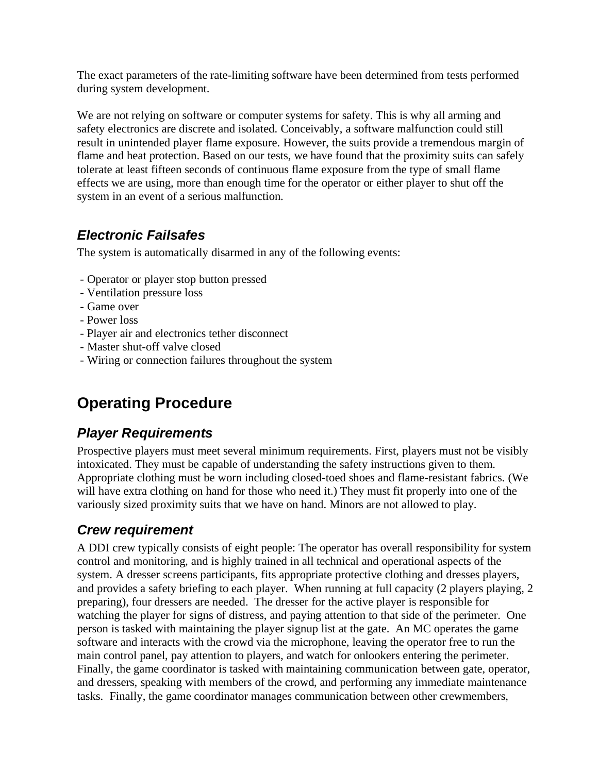The exact parameters of the rate-limiting software have been determined from tests performed during system development.

We are not relying on software or computer systems for safety. This is why all arming and safety electronics are discrete and isolated. Conceivably, a software malfunction could still result in unintended player flame exposure. However, the suits provide a tremendous margin of flame and heat protection. Based on our tests, we have found that the proximity suits can safely tolerate at least fifteen seconds of continuous flame exposure from the type of small flame effects we are using, more than enough time for the operator or either player to shut off the system in an event of a serious malfunction.

## *Electronic Failsafes*

The system is automatically disarmed in any of the following events:

- Operator or player stop button pressed
- Ventilation pressure loss
- Game over
- Power loss
- Player air and electronics tether disconnect
- Master shut-off valve closed
- Wiring or connection failures throughout the system

# **Operating Procedure**

## *Player Requirements*

Prospective players must meet several minimum requirements. First, players must not be visibly intoxicated. They must be capable of understanding the safety instructions given to them. Appropriate clothing must be worn including closed-toed shoes and flame-resistant fabrics. (We will have extra clothing on hand for those who need it.) They must fit properly into one of the variously sized proximity suits that we have on hand. Minors are not allowed to play.

## *Crew requirement*

A DDI crew typically consists of eight people: The operator has overall responsibility for system control and monitoring, and is highly trained in all technical and operational aspects of the system. A dresser screens participants, fits appropriate protective clothing and dresses players, and provides a safety briefing to each player. When running at full capacity (2 players playing, 2 preparing), four dressers are needed. The dresser for the active player is responsible for watching the player for signs of distress, and paying attention to that side of the perimeter. One person is tasked with maintaining the player signup list at the gate. An MC operates the game software and interacts with the crowd via the microphone, leaving the operator free to run the main control panel, pay attention to players, and watch for onlookers entering the perimeter. Finally, the game coordinator is tasked with maintaining communication between gate, operator, and dressers, speaking with members of the crowd, and performing any immediate maintenance tasks. Finally, the game coordinator manages communication between other crewmembers,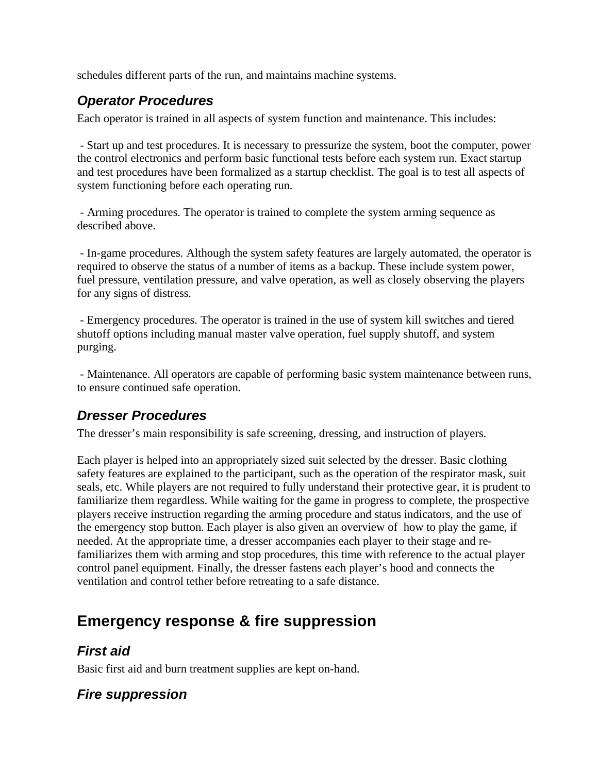schedules different parts of the run, and maintains machine systems.

## *Operator Procedures*

Each operator is trained in all aspects of system function and maintenance. This includes:

 - Start up and test procedures. It is necessary to pressurize the system, boot the computer, power the control electronics and perform basic functional tests before each system run. Exact startup and test procedures have been formalized as a startup checklist. The goal is to test all aspects of system functioning before each operating run.

 - Arming procedures. The operator is trained to complete the system arming sequence as described above.

 - In-game procedures. Although the system safety features are largely automated, the operator is required to observe the status of a number of items as a backup. These include system power, fuel pressure, ventilation pressure, and valve operation, as well as closely observing the players for any signs of distress.

 - Emergency procedures. The operator is trained in the use of system kill switches and tiered shutoff options including manual master valve operation, fuel supply shutoff, and system purging.

 - Maintenance. All operators are capable of performing basic system maintenance between runs, to ensure continued safe operation.

## *Dresser Procedures*

The dresser's main responsibility is safe screening, dressing, and instruction of players.

Each player is helped into an appropriately sized suit selected by the dresser. Basic clothing safety features are explained to the participant, such as the operation of the respirator mask, suit seals, etc. While players are not required to fully understand their protective gear, it is prudent to familiarize them regardless. While waiting for the game in progress to complete, the prospective players receive instruction regarding the arming procedure and status indicators, and the use of the emergency stop button. Each player is also given an overview of how to play the game, if needed. At the appropriate time, a dresser accompanies each player to their stage and refamiliarizes them with arming and stop procedures, this time with reference to the actual player control panel equipment. Finally, the dresser fastens each player's hood and connects the ventilation and control tether before retreating to a safe distance.

# **Emergency response & fire suppression**

#### *First aid*

Basic first aid and burn treatment supplies are kept on-hand.

## *Fire suppression*